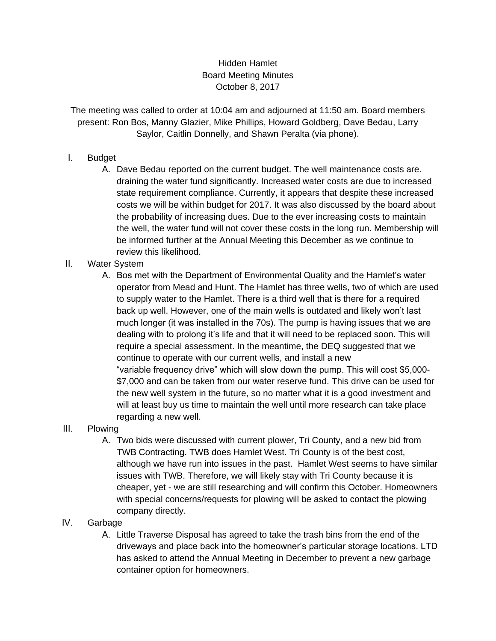## Hidden Hamlet Board Meeting Minutes October 8, 2017

The meeting was called to order at 10:04 am and adjourned at 11:50 am. Board members present: Ron Bos, Manny Glazier, Mike Phillips, Howard Goldberg, Dave Bedau, Larry Saylor, Caitlin Donnelly, and Shawn Peralta (via phone).

## I. Budget

- A. Dave Bedau reported on the current budget. The well maintenance costs are. draining the water fund significantly. Increased water costs are due to increased state requirement compliance. Currently, it appears that despite these increased costs we will be within budget for 2017. It was also discussed by the board about the probability of increasing dues. Due to the ever increasing costs to maintain the well, the water fund will not cover these costs in the long run. Membership will be informed further at the Annual Meeting this December as we continue to review this likelihood.
- II. Water System
	- A. Bos met with the Department of Environmental Quality and the Hamlet's water operator from Mead and Hunt. The Hamlet has three wells, two of which are used to supply water to the Hamlet. There is a third well that is there for a required back up well. However, one of the main wells is outdated and likely won't last much longer (it was installed in the 70s). The pump is having issues that we are dealing with to prolong it's life and that it will need to be replaced soon. This will require a special assessment. In the meantime, the DEQ suggested that we continue to operate with our current wells, and install a new "variable frequency drive" which will slow down the pump. This will cost \$5,000- \$7,000 and can be taken from our water reserve fund. This drive can be used for the new well system in the future, so no matter what it is a good investment and will at least buy us time to maintain the well until more research can take place regarding a new well.

## III. Plowing

A. Two bids were discussed with current plower, Tri County, and a new bid from TWB Contracting. TWB does Hamlet West. Tri County is of the best cost, although we have run into issues in the past. Hamlet West seems to have similar issues with TWB. Therefore, we will likely stay with Tri County because it is cheaper, yet - we are still researching and will confirm this October. Homeowners with special concerns/requests for plowing will be asked to contact the plowing company directly.

## IV. Garbage

A. Little Traverse Disposal has agreed to take the trash bins from the end of the driveways and place back into the homeowner's particular storage locations. LTD has asked to attend the Annual Meeting in December to prevent a new garbage container option for homeowners.